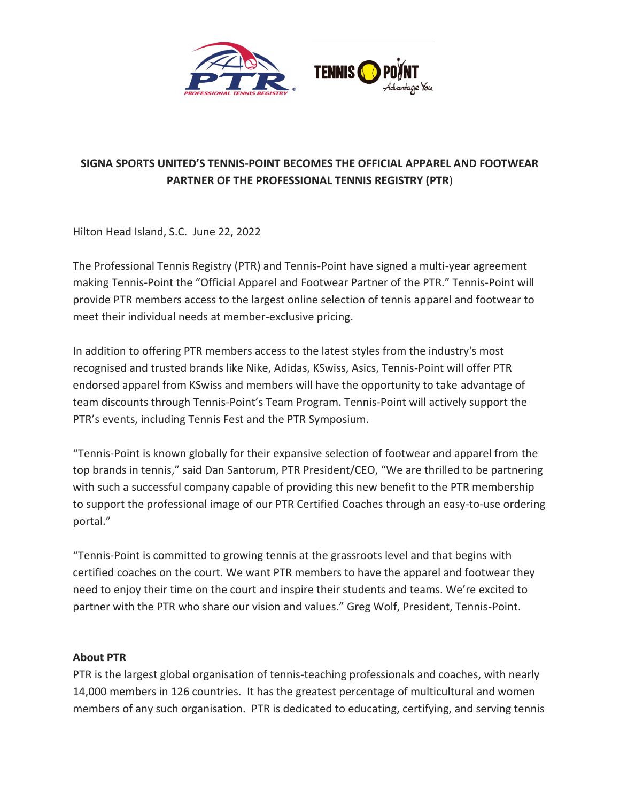

## **SIGNA SPORTS UNITED'S TENNIS-POINT BECOMES THE OFFICIAL APPAREL AND FOOTWEAR PARTNER OF THE PROFESSIONAL TENNIS REGISTRY (PTR**)

Hilton Head Island, S.C. June 22, 2022

The Professional Tennis Registry (PTR) and Tennis-Point have signed a multi-year agreement making Tennis-Point the "Official Apparel and Footwear Partner of the PTR." Tennis-Point will provide PTR members access to the largest online selection of tennis apparel and footwear to meet their individual needs at member-exclusive pricing.

In addition to offering PTR members access to the latest styles from the industry's most recognised and trusted brands like Nike, Adidas, KSwiss, Asics, Tennis-Point will offer PTR endorsed apparel from KSwiss and members will have the opportunity to take advantage of team discounts through Tennis-Point's Team Program. Tennis-Point will actively support the PTR's events, including Tennis Fest and the PTR Symposium.

"Tennis-Point is known globally for their expansive selection of footwear and apparel from the top brands in tennis," said Dan Santorum, PTR President/CEO, "We are thrilled to be partnering with such a successful company capable of providing this new benefit to the PTR membership to support the professional image of our PTR Certified Coaches through an easy-to-use ordering portal."

"Tennis-Point is committed to growing tennis at the grassroots level and that begins with certified coaches on the court. We want PTR members to have the apparel and footwear they need to enjoy their time on the court and inspire their students and teams. We're excited to partner with the PTR who share our vision and values." Greg Wolf, President, Tennis-Point.

## **About PTR**

PTR is the largest global organisation of tennis-teaching professionals and coaches, with nearly 14,000 members in 126 countries. It has the greatest percentage of multicultural and women members of any such organisation. PTR is dedicated to educating, certifying, and serving tennis